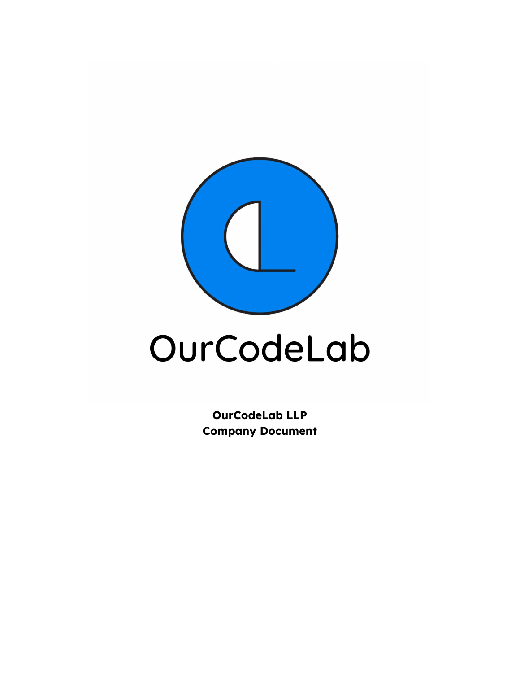

# OurCodeLab

**OurCodeLab LLP Company Document**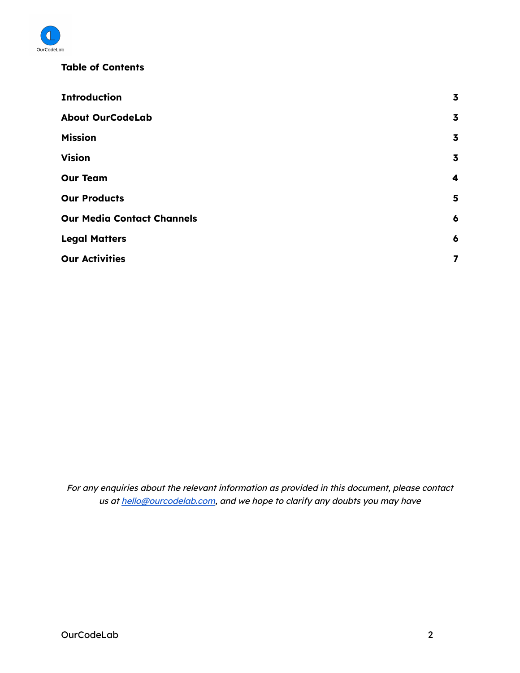

#### **Table of Contents**

| <b>Introduction</b>               | $\overline{\mathbf{3}}$ |
|-----------------------------------|-------------------------|
| <b>About OurCodeLab</b>           | $\overline{\mathbf{3}}$ |
| <b>Mission</b>                    | $\overline{\mathbf{3}}$ |
| <b>Vision</b>                     | $\overline{\mathbf{3}}$ |
| <b>Our Team</b>                   | 4                       |
| <b>Our Products</b>               | 5                       |
| <b>Our Media Contact Channels</b> | $\boldsymbol{6}$        |
| <b>Legal Matters</b>              | 6                       |
| <b>Our Activities</b>             | $\overline{\mathbf{z}}$ |

For any enquiries about the relevant information as provided in this document, please contact us at [hello@ourcodelab.com](mailto:hello@ourcodelab.com), and we hope to clarify any doubts you may have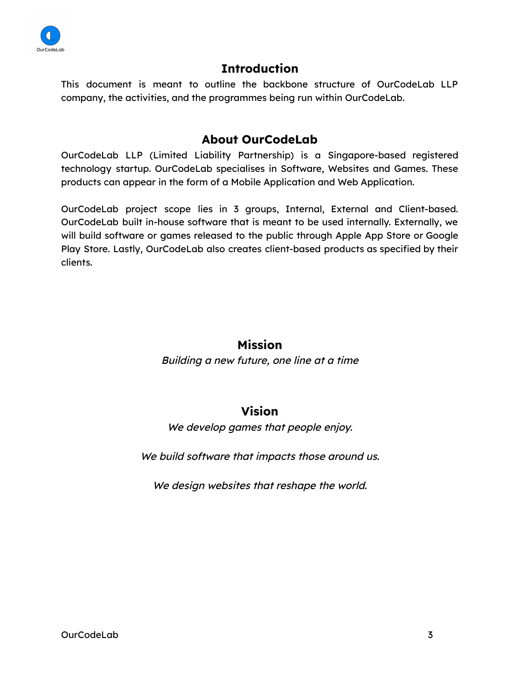

## **Introduction**

<span id="page-2-0"></span>This document is meant to outline the backbone structure of OurCodeLab LLP company, the activities, and the programmes being run within OurCodeLab.

## **About OurCodeLab**

<span id="page-2-1"></span>OurCodeLab LLP (Limited Liability Partnership) is a Singapore-based registered technology startup. OurCodeLab specialises in Software, Websites and Games. These products can appear in the form of a Mobile Application and Web Application.

OurCodeLab project scope lies in 3 groups, Internal, External and Client-based. OurCodeLab built in-house software that is meant to be used internally. Externally, we will build software or games released to the public through Apple App Store or Google Play Store. Lastly, OurCodeLab also creates client-based products as specified by their clients.

## **Mission**

<span id="page-2-2"></span>Building <sup>a</sup> new future, one line at <sup>a</sup> time

#### **Vision**

We develop games that people enjoy.

<span id="page-2-3"></span>We build software that impacts those around us.

We design websites that reshape the world.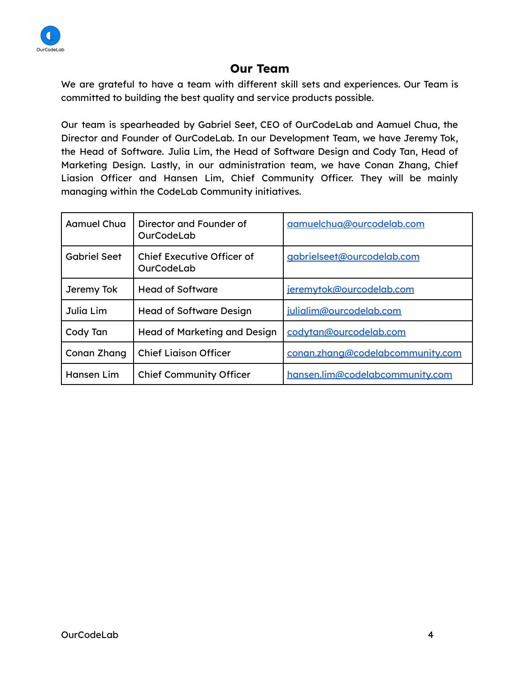

## **Our Team**

<span id="page-3-0"></span>We are grateful to have a team with different skill sets and experiences. Our Team is committed to building the best quality and service products possible.

Our team is spearheaded by Gabriel Seet, CEO of OurCodeLab and Aamuel Chua, the Director and Founder of OurCodeLab. In our Development Team, we have Jeremy Tok, the Head of Software. Julia Lim, the Head of Software Design and Cody Tan, Head of Marketing Design. Lastly, in our administration team, we have Conan Zhang, Chief Liasion Officer and Hansen Lim, Chief Community Officer. They will be mainly managing within the CodeLab Community initiatives.

| Aamuel Chua         | Director and Founder of<br>OurCodeLab    | aamuelchua@ourcodelab.com        |
|---------------------|------------------------------------------|----------------------------------|
| <b>Gabriel Seet</b> | Chief Executive Officer of<br>OurCodeLab | gabrielseet@ourcodelab.com       |
| Jeremy Tok          | <b>Head of Software</b>                  | jeremytok@ourcodelab.com         |
| Julia Lim           | <b>Head of Software Design</b>           | julialim@ourcodelab.com          |
| Cody Tan            | Head of Marketing and Design             | codvtan@ourcodelab.com           |
| Conan Zhang         | <b>Chief Ligison Officer</b>             | conan.zhang@codelabcommunity.com |
| Hansen Lim          | <b>Chief Community Officer</b>           | hansen.lim@codelabcommunity.com  |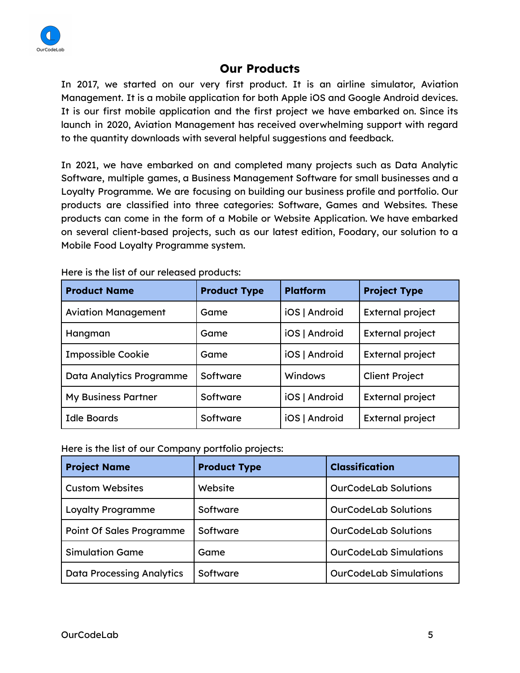

#### **Our Products**

<span id="page-4-0"></span>In 2017, we started on our very first product. It is an airline simulator, Aviation Management. It is a mobile application for both Apple iOS and Google Android devices. It is our first mobile application and the first project we have embarked on. Since its launch in 2020, Aviation Management has received overwhelming support with regard to the quantity downloads with several helpful suggestions and feedback.

In 2021, we have embarked on and completed many projects such as Data Analytic Software, multiple games, a Business Management Software for small businesses and a Loyalty Programme. We are focusing on building our business profile and portfolio. Our products are classified into three categories: Software, Games and Websites. These products can come in the form of a Mobile or Website Application. We have embarked on several client-based projects, such as our latest edition, Foodary, our solution to a Mobile Food Loyalty Programme system.

| <b>Product Name</b>        | <b>Product Type</b> | <b>Platform</b> | <b>Project Type</b>     |
|----------------------------|---------------------|-----------------|-------------------------|
| <b>Aviation Management</b> | Game                | iOS   Android   | <b>External project</b> |
| Hangman                    | Game                | iOS   Android   | <b>External project</b> |
| <b>Impossible Cookie</b>   | Game                | iOS   Android   | <b>External project</b> |
| Data Analytics Programme   | Software            | Windows         | <b>Client Project</b>   |
| <b>My Business Partner</b> | Software            | iOS   Android   | <b>External project</b> |
| <b>Idle Boards</b>         | Software            | iOS   Android   | <b>External project</b> |

Here is the list of our released products:

Here is the list of our Company portfolio projects:

| <b>Project Name</b>              | <b>Product Type</b> | <b>Classification</b>         |
|----------------------------------|---------------------|-------------------------------|
| <b>Custom Websites</b>           | Website             | <b>OurCodeLab Solutions</b>   |
| <b>Loyalty Programme</b>         | Software            | <b>OurCodeLab Solutions</b>   |
| <b>Point Of Sales Programme</b>  | Software            | <b>OurCodeLab Solutions</b>   |
| <b>Simulation Game</b>           | Game                | <b>OurCodeLab Simulations</b> |
| <b>Data Processing Analytics</b> | Software            | <b>OurCodeLab Simulations</b> |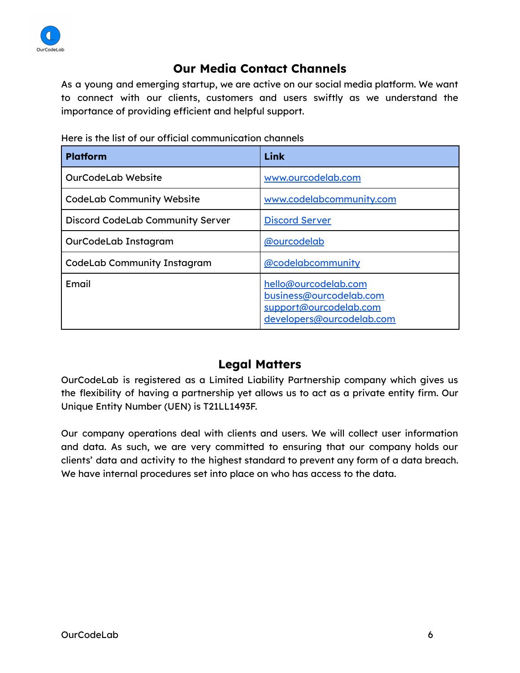

## **Our Media Contact Channels**

<span id="page-5-0"></span>As a young and emerging startup, we are active on our social media platform. We want to connect with our clients, customers and users swiftly as we understand the importance of providing efficient and helpful support.

| <b>Platform</b>                         | Link                                                                                                   |
|-----------------------------------------|--------------------------------------------------------------------------------------------------------|
| <b>OurCodeLab Website</b>               | www.ourcodelab.com                                                                                     |
| <b>CodeLab Community Website</b>        | www.codelabcommunity.com                                                                               |
| <b>Discord CodeLab Community Server</b> | <b>Discord Server</b>                                                                                  |
| OurCodeLab Instagram                    | @ourcodelab                                                                                            |
| <b>CodeLab Community Instagram</b>      | @codelabcommunity                                                                                      |
| Email                                   | hello@ourcodelab.com<br>business@ourcodelab.com<br>support@ourcodelab.com<br>developers@ourcodelab.com |

Here is the list of our official communication channels

#### **Legal Matters**

<span id="page-5-1"></span>OurCodeLab is registered as a Limited Liability Partnership company which gives us the flexibility of having a partnership yet allows us to act as a private entity firm. Our Unique Entity Number (UEN) is T21LL1493F.

Our company operations deal with clients and users. We will collect user information and data. As such, we are very committed to ensuring that our company holds our clients' data and activity to the highest standard to prevent any form of a data breach. We have internal procedures set into place on who has access to the data.